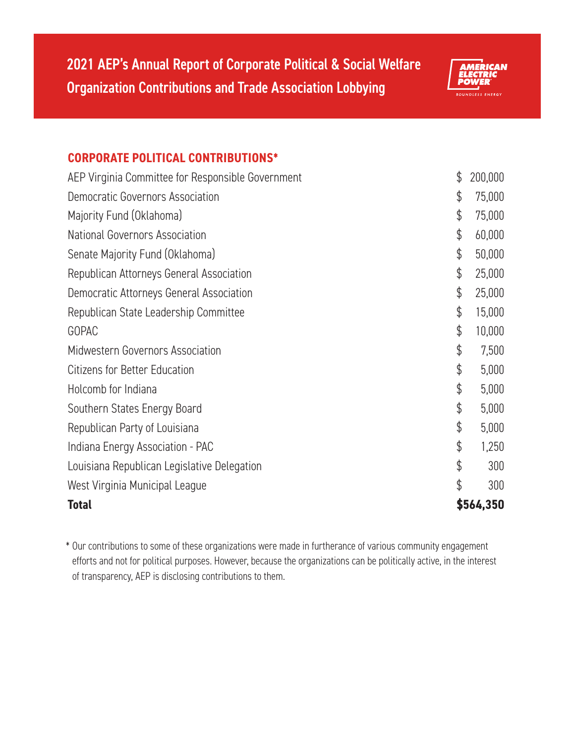

## **CORPORATE POLITICAL CONTRIBUTIONS\***

| <b>Total</b>                                      | \$564,350     |
|---------------------------------------------------|---------------|
| West Virginia Municipal League                    | \$<br>300     |
| Louisiana Republican Legislative Delegation       | \$<br>300     |
| Indiana Energy Association - PAC                  | \$<br>1,250   |
| Republican Party of Louisiana                     | \$<br>5,000   |
| Southern States Energy Board                      | \$<br>5,000   |
| Holcomb for Indiana                               | \$<br>5,000   |
| <b>Citizens for Better Education</b>              | \$<br>5,000   |
| Midwestern Governors Association                  | \$<br>7,500   |
| GOPAC                                             | \$<br>10,000  |
| Republican State Leadership Committee             | \$<br>15,000  |
| Democratic Attorneys General Association          | \$<br>25,000  |
| Republican Attorneys General Association          | \$<br>25,000  |
| Senate Majority Fund (Oklahoma)                   | \$<br>50,000  |
| National Governors Association                    | \$<br>60,000  |
| Majority Fund (Oklahoma)                          | \$<br>75,000  |
| <b>Democratic Governors Association</b>           | \$<br>75,000  |
| AEP Virginia Committee for Responsible Government | \$<br>200,000 |

\* Our contributions to some of these organizations were made in furtherance of various community engagement efforts and not for political purposes. However, because the organizations can be politically active, in the interest of transparency, AEP is disclosing contributions to them.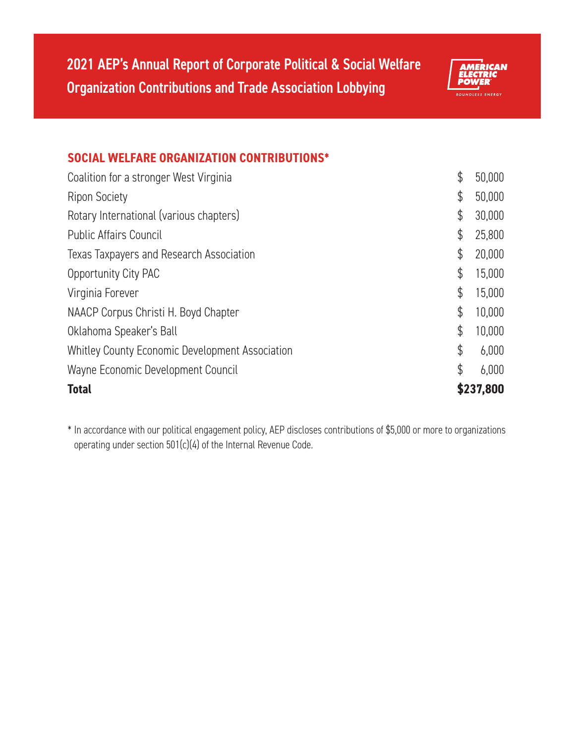

## **SOCIAL WELFARE ORGANIZATION CONTRIBUTIONS\***

| <b>Total</b>                                           | \$237,800    |
|--------------------------------------------------------|--------------|
| Wayne Economic Development Council                     | \$<br>6,000  |
| <b>Whitley County Economic Development Association</b> | \$<br>6,000  |
| Oklahoma Speaker's Ball                                | \$<br>10,000 |
| NAACP Corpus Christi H. Boyd Chapter                   | \$<br>10,000 |
| Virginia Forever                                       | \$<br>15,000 |
| Opportunity City PAC                                   | \$<br>15,000 |
| Texas Taxpayers and Research Association               | \$<br>20,000 |
| <b>Public Affairs Council</b>                          | \$<br>25,800 |
| Rotary International (various chapters)                | \$<br>30,000 |
| <b>Ripon Society</b>                                   | \$<br>50,000 |
| Coalition for a stronger West Virginia                 | \$<br>50,000 |

\* In accordance with our political engagement policy, AEP discloses contributions of \$5,000 or more to organizations operating under section 501(c)(4) of the Internal Revenue Code.